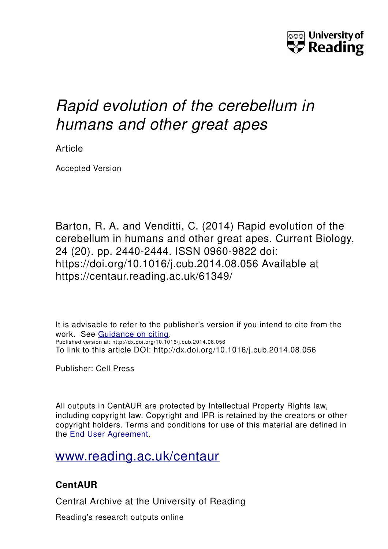

# *Rapid evolution of the cerebellum in humans and other great apes*

Article

Accepted Version

Barton, R. A. and Venditti, C. (2014) Rapid evolution of the cerebellum in humans and other great apes. Current Biology, 24 (20). pp. 2440-2444. ISSN 0960-9822 doi: https://doi.org/10.1016/j.cub.2014.08.056 Available at https://centaur.reading.ac.uk/61349/

It is advisable to refer to the publisher's version if you intend to cite from the work. See [Guidance on citing.](http://centaur.reading.ac.uk/71187/10/CentAUR%20citing%20guide.pdf) Published version at: http://dx.doi.org/10.1016/j.cub.2014.08.056 To link to this article DOI: http://dx.doi.org/10.1016/j.cub.2014.08.056

Publisher: Cell Press

All outputs in CentAUR are protected by Intellectual Property Rights law, including copyright law. Copyright and IPR is retained by the creators or other copyright holders. Terms and conditions for use of this material are defined in the [End User Agreement.](http://centaur.reading.ac.uk/licence)

[www.reading.ac.uk/centaur](http://www.reading.ac.uk/centaur)

## **CentAUR**

Central Archive at the University of Reading

Reading's research outputs online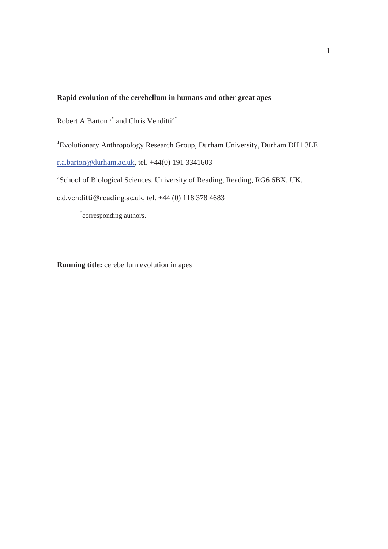#### **Rapid evolution of the cerebellum in humans and other great apes**

Robert A Barton<sup>1,\*</sup> and Chris Venditti<sup>2\*</sup>

<sup>1</sup> Evolutionary Anthropology Research Group, Durham University, Durham DH1 3LE r.a.barton@durham.ac.uk, tel. +44(0) 191 3341603

<sup>2</sup>School of Biological Sciences, University of Reading, Reading, RG6 6BX, UK.

c.d.venditti@reading.ac.uk, tel. +44 (0) 118 378 4683

\*corresponding authors.

**Running title:** cerebellum evolution in apes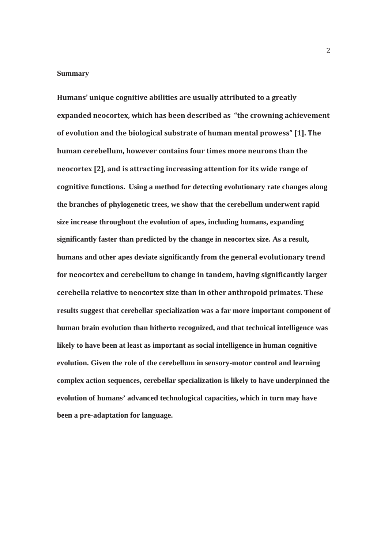#### **Summary**

Humans' unique cognitive abilities are usually attributed to a greatly expanded neocortex, which has been described as "the crowning achievement of evolution and the biological substrate of human mental prowess" [1]. The human cerebellum, however contains four times more neurons than the neocortex [2], and is attracting increasing attention for its wide range of cognitive functions. Using a method for detecting evolutionary rate changes along **the branches of phylogenetic trees, we show that the cerebellum underwent rapid size increase throughout the evolution of apes, including humans, expanding significantly faster than predicted by the change in neocortex size. As a result,**  humans and other apes deviate significantly from the general evolutionary trend for neocortex and cerebellum to change in tandem, having significantly larger  **These results suggest that cerebellar specialization was a far more important component of human brain evolution than hitherto recognized, and that technical intelligence was likely to have been at least as important as social intelligence in human cognitive evolution. Given the role of the cerebellum in sensory-motor control and learning complex action sequences, cerebellar specialization is likely to have underpinned the evolution of humans' advanced technological capacities, which in turn may have been a pre-adaptation for language.**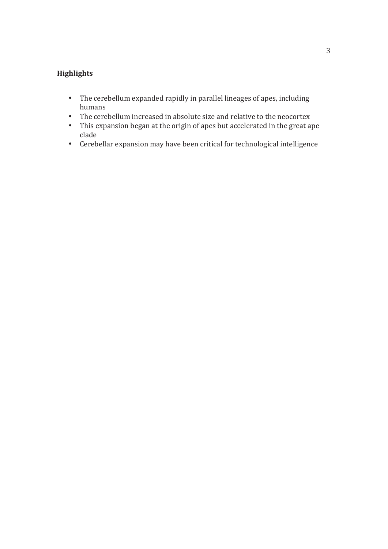### **Highlights**

- The cerebellum expanded rapidly in parallel lineages of apes, including humans
- The cerebellum increased in absolute size and relative to the neocortex
- This expansion began at the origin of apes but accelerated in the great ape clade
- Cerebellar expansion may have been critical for technological intelligence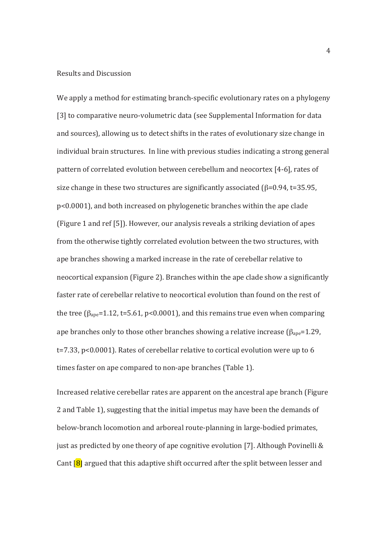#### **Results and Discussion**

We apply a method for estimating branch-specific evolutionary rates on a phylogeny [3] to comparative neuro-volumetric data (see Supplemental Information for data and sources), allowing us to detect shifts in the rates of evolutionary size change in individual brain structures. In line with previous studies indicating a strong general pattern of correlated evolution between cerebellum and neocortex [4-6], rates of size change in these two structures are significantly associated ( $\beta$ =0.94, t=35.95, p<0.0001), and both increased on phylogenetic branches within the ape clade (Figure 1 and ref [5]). However, our analysis reveals a striking deviation of apes from the otherwise tightly correlated evolution between the two structures, with ape branches showing a marked increase in the rate of cerebellar relative to neocortical expansion (Figure 2). Branches within the ape clade show a significantly faster rate of cerebellar relative to neocortical evolution than found on the rest of the tree ( $\beta_{\text{ape}}$ =1.12, t=5.61, p<0.0001), and this remains true even when comparing ape branches only to those other branches showing a relative increase ( $\beta_{\text{ave}}$ =1.29, t=7.33, p<0.0001). Rates of cerebellar relative to cortical evolution were up to 6 times faster on ape compared to non-ape branches (Table 1).

Increased relative cerebellar rates are apparent on the ancestral ape branch (Figure 2 and Table 1), suggesting that the initial impetus may have been the demands of below-branch locomotion and arboreal route-planning in large-bodied primates, just as predicted by one theory of ape cognitive evolution [7]. Although Povinelli & Cant  $\left| \mathbf{8} \right|$  argued that this adaptive shift occurred after the split between lesser and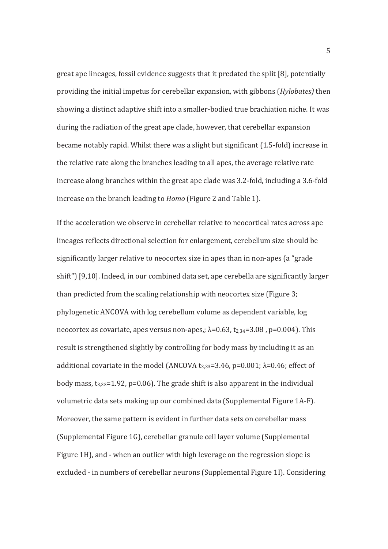great ape lineages, fossil evidence suggests that it predated the split [8], potentially providing the initial impetus for cerebellar expansion, with gibbons (Hylobates) then showing a distinct adaptive shift into a smaller-bodied true brachiation niche. It was during the radiation of the great ape clade, however, that cerebellar expansion became notably rapid. Whilst there was a slight but significant (1.5-fold) increase in the relative rate along the branches leading to all apes, the average relative rate increase along branches within the great ape clade was 3.2-fold, including a 3.6-fold increase on the branch leading to *Homo* (Figure 2 and Table 1).

If the acceleration we observe in cerebellar relative to neocortical rates across ape lineages reflects directional selection for enlargement, cerebellum size should be significantly larger relative to neocortex size in apes than in non-apes (a "grade" shift") [9,10]. Indeed, in our combined data set, ape cerebella are significantly larger than predicted from the scaling relationship with neocortex size (Figure 3; phylogenetic ANCOVA with log cerebellum volume as dependent variable, log neocortex as covariate, apes versus non-apes,;  $\lambda$ =0.63, t<sub>2.34</sub>=3.08, p=0.004). This result is strengthened slightly by controlling for body mass by including it as an additional covariate in the model (ANCOVA  $t_{3,33}$ =3.46, p=0.001;  $\lambda$ =0.46; effect of body mass,  $t_{3,33}=1.92$ , p=0.06). The grade shift is also apparent in the individual volumetric data sets making up our combined data (Supplemental Figure 1A-F). Moreover, the same pattern is evident in further data sets on cerebellar mass (Supplemental Figure 1G), cerebellar granule cell layer volume (Supplemental Figure 1H), and - when an outlier with high leverage on the regression slope is excluded - in numbers of cerebellar neurons (Supplemental Figure 1I). Considering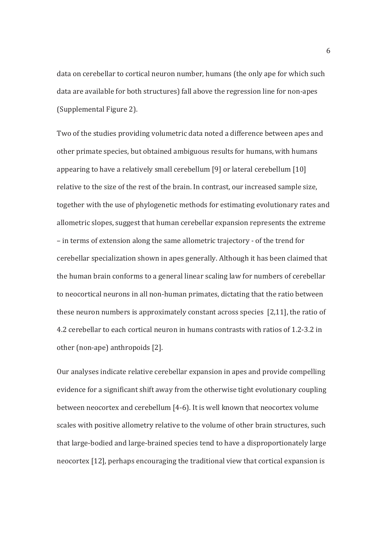data on cerebellar to cortical neuron number, humans (the only ape for which such data are available for both structures) fall above the regression line for non-apes (Supplemental Figure 2).

Two of the studies providing volumetric data noted a difference between apes and other primate species, but obtained ambiguous results for humans, with humans appearing to have a relatively small cerebellum [9] or lateral cerebellum [10] relative to the size of the rest of the brain. In contrast, our increased sample size, together with the use of phylogenetic methods for estimating evolutionary rates and allometric slopes, suggest that human cerebellar expansion represents the extreme - in terms of extension along the same allometric trajectory - of the trend for cerebellar specialization shown in apes generally. Although it has been claimed that the human brain conforms to a general linear scaling law for numbers of cerebellar to neocortical neurons in all non-human primates, dictating that the ratio between these neuron numbers is approximately constant across species [2.11], the ratio of 4.2 cerebellar to each cortical neuron in humans contrasts with ratios of 1.2-3.2 in other (non-ape) anthropoids [2].

Our analyses indicate relative cerebellar expansion in apes and provide compelling evidence for a significant shift away from the otherwise tight evolutionary coupling between neocortex and cerebellum [4-6]. It is well known that neocortex volume scales with positive allometry relative to the volume of other brain structures, such that large-bodied and large-brained species tend to have a disproportionately large neocortex [12], perhaps encouraging the traditional view that cortical expansion is

6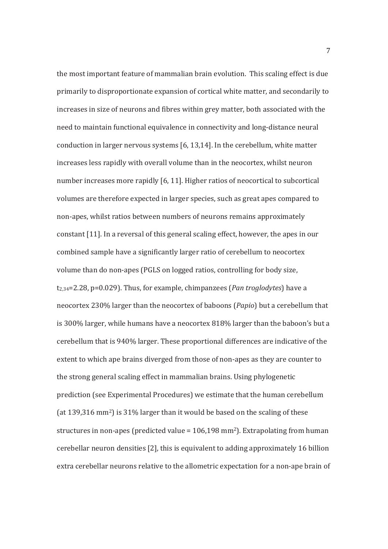the most important feature of mammalian brain evolution. This scaling effect is due primarily to disproportionate expansion of cortical white matter, and secondarily to increases in size of neurons and fibres within grey matter, both associated with the need to maintain functional equivalence in connectivity and long-distance neural conduction in larger nervous systems [6, 13,14]. In the cerebellum, white matter increases less rapidly with overall volume than in the neocortex, whilst neuron number increases more rapidly [6, 11]. Higher ratios of neocortical to subcortical volumes are therefore expected in larger species, such as great apes compared to non-apes, whilst ratios between numbers of neurons remains approximately constant [11]. In a reversal of this general scaling effect, however, the apes in our combined sample have a significantly larger ratio of cerebellum to neocortex volume than do non-apes (PGLS on logged ratios, controlling for body size,  $t_{2,34}$ =2.28, p=0.029). Thus, for example, chimpanzees (*Pan troglodytes*) have a neocortex 230% larger than the neocortex of baboons (Papio) but a cerebellum that is 300% larger, while humans have a neocortex 818% larger than the baboon's but a cerebellum that is 940% larger. These proportional differences are indicative of the extent to which ape brains diverged from those of non-apes as they are counter to the strong general scaling effect in mammalian brains. Using phylogenetic prediction (see Experimental Procedures) we estimate that the human cerebellum (at 139,316 mm<sup>2</sup>) is 31% larger than it would be based on the scaling of these structures in non-apes (predicted value =  $106,198$  mm<sup>2</sup>). Extrapolating from human cerebellar neuron densities [2], this is equivalent to adding approximately 16 billion extra cerebellar neurons relative to the allometric expectation for a non-ape brain of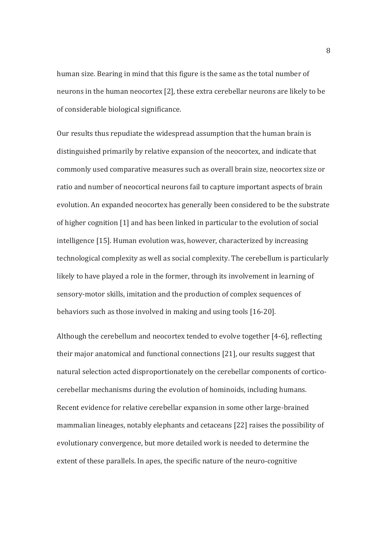human size. Bearing in mind that this figure is the same as the total number of neurons in the human neocortex [2], these extra cerebellar neurons are likely to be of considerable biological significance.

Our results thus repudiate the widespread assumption that the human brain is distinguished primarily by relative expansion of the neocortex, and indicate that commonly used comparative measures such as overall brain size, neocortex size or ratio and number of neocortical neurons fail to capture important aspects of brain evolution. An expanded neocortex has generally been considered to be the substrate of higher cognition [1] and has been linked in particular to the evolution of social intelligence [15]. Human evolution was, however, characterized by increasing technological complexity as well as social complexity. The cerebellum is particularly likely to have played a role in the former, through its involvement in learning of sensory-motor skills, imitation and the production of complex sequences of behaviors such as those involved in making and using tools [16-20].

Although the cerebellum and neocortex tended to evolve together [4-6], reflecting their major anatomical and functional connections [21], our results suggest that natural selection acted disproportionately on the cerebellar components of corticocerebellar mechanisms during the evolution of hominoids, including humans. Recent evidence for relative cerebellar expansion in some other large-brained mammalian lineages, notably elephants and cetaceans [22] raises the possibility of evolutionary convergence, but more detailed work is needed to determine the extent of these parallels. In apes, the specific nature of the neuro-cognitive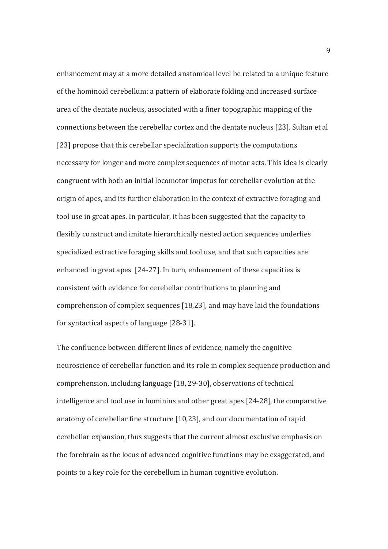enhancement may at a more detailed anatomical level be related to a unique feature of the hominoid cerebellum: a pattern of elaborate folding and increased surface area of the dentate nucleus, associated with a finer topographic mapping of the connections between the cerebellar cortex and the dentate nucleus [23]. Sultan et al [23] propose that this cerebellar specialization supports the computations necessary for longer and more complex sequences of motor acts. This idea is clearly congruent with both an initial locomotor impetus for cerebellar evolution at the origin of apes, and its further elaboration in the context of extractive foraging and tool use in great apes. In particular, it has been suggested that the capacity to flexibly construct and imitate hierarchically nested action sequences underlies specialized extractive foraging skills and tool use, and that such capacities are enhanced in great apes [24-27]. In turn, enhancement of these capacities is consistent with evidence for cerebellar contributions to planning and comprehension of complex sequences [18,23], and may have laid the foundations for syntactical aspects of language [28-31].

The confluence between different lines of evidence, namely the cognitive neuroscience of cerebellar function and its role in complex sequence production and comprehension, including language [18, 29-30], observations of technical intelligence and tool use in hominins and other great apes [24-28], the comparative anatomy of cerebellar fine structure [10,23], and our documentation of rapid cerebellar expansion, thus suggests that the current almost exclusive emphasis on the forebrain as the locus of advanced cognitive functions may be exaggerated, and points to a key role for the cerebellum in human cognitive evolution.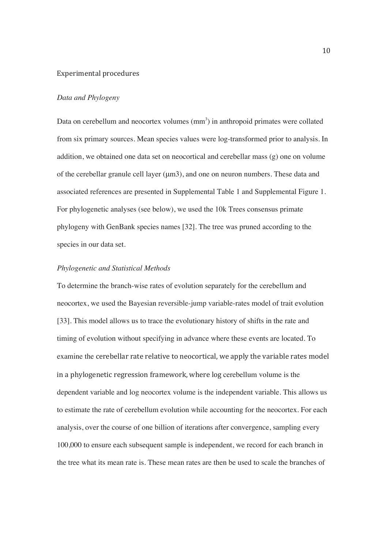#### Experimental procedures

#### *Data and Phylogeny*

Data on cerebellum and neocortex volumes  $(mm<sup>3</sup>)$  in anthropoid primates were collated from six primary sources. Mean species values were log-transformed prior to analysis. In addition, we obtained one data set on neocortical and cerebellar mass (g) one on volume of the cerebellar granule cell layer (μm3), and one on neuron numbers. These data and associated references are presented in Supplemental Table 1 and Supplemental Figure 1. For phylogenetic analyses (see below), we used the 10k Trees consensus primate phylogeny with GenBank species names [32]. The tree was pruned according to the species in our data set.

#### *Phylogenetic and Statistical Methods*

To determine the branch-wise rates of evolution separately for the cerebellum and neocortex, we used the Bayesian reversible-jump variable-rates model of trait evolution [33]. This model allows us to trace the evolutionary history of shifts in the rate and timing of evolution without specifying in advance where these events are located. To examine the cerebellar rate relative to neocortical, we apply the variable rates model in a phylogenetic regression framework, where log cerebellum volume is the dependent variable and log neocortex volume is the independent variable. This allows us to estimate the rate of cerebellum evolution while accounting for the neocortex. For each analysis, over the course of one billion of iterations after convergence, sampling every 100,000 to ensure each subsequent sample is independent, we record for each branch in the tree what its mean rate is. These mean rates are then be used to scale the branches of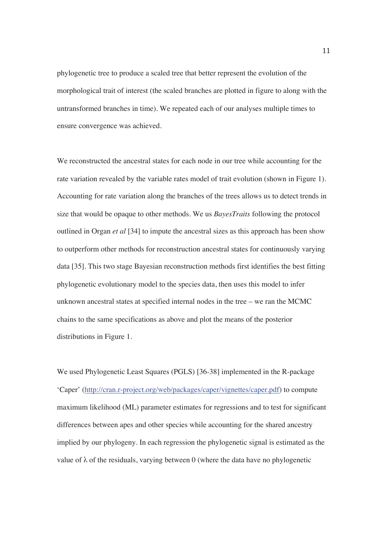phylogenetic tree to produce a scaled tree that better represent the evolution of the morphological trait of interest (the scaled branches are plotted in figure to along with the untransformed branches in time). We repeated each of our analyses multiple times to ensure convergence was achieved.

We reconstructed the ancestral states for each node in our tree while accounting for the rate variation revealed by the variable rates model of trait evolution (shown in Figure 1). Accounting for rate variation along the branches of the trees allows us to detect trends in size that would be opaque to other methods. We us *BayesTraits* following the protocol outlined in Organ *et al* [34] to impute the ancestral sizes as this approach has been show to outperform other methods for reconstruction ancestral states for continuously varying data [35]. This two stage Bayesian reconstruction methods first identifies the best fitting phylogenetic evolutionary model to the species data, then uses this model to infer unknown ancestral states at specified internal nodes in the tree – we ran the MCMC chains to the same specifications as above and plot the means of the posterior distributions in Figure 1.

We used Phylogenetic Least Squares (PGLS) [36-38] implemented in the R-package 'Caper' (http://cran.r-project.org/web/packages/caper/vignettes/caper.pdf) to compute maximum likelihood (ML) parameter estimates for regressions and to test for significant differences between apes and other species while accounting for the shared ancestry implied by our phylogeny. In each regression the phylogenetic signal is estimated as the value of  $\lambda$  of the residuals, varying between 0 (where the data have no phylogenetic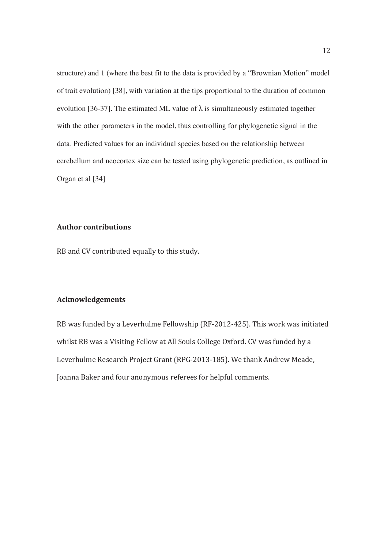structure) and 1 (where the best fit to the data is provided by a "Brownian Motion" model of trait evolution) [38], with variation at the tips proportional to the duration of common evolution [36-37]. The estimated ML value of  $\lambda$  is simultaneously estimated together with the other parameters in the model, thus controlling for phylogenetic signal in the data. Predicted values for an individual species based on the relationship between cerebellum and neocortex size can be tested using phylogenetic prediction, as outlined in Organ et al [34]

#### **Author contributions**

RB and CV contributed equally to this study.

#### Acknowledgements

RB was funded by a Leverhulme Fellowship (RF-2012-425). This work was initiated whilst RB was a Visiting Fellow at All Souls College Oxford. CV was funded by a Leverhulme Research Project Grant (RPG-2013-185). We thank Andrew Meade, Joanna Baker and four anonymous referees for helpful comments.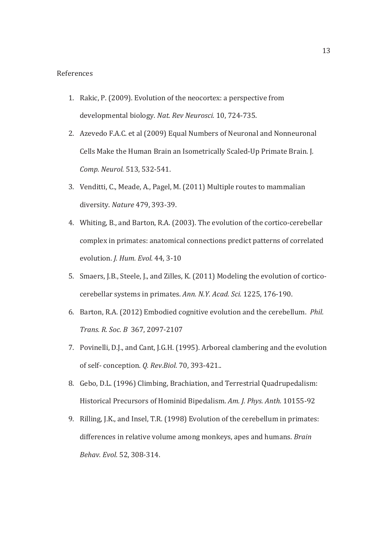#### References

- 1. Rakic, P. (2009). Evolution of the neocortex: a perspective from developmental biology. Nat. Rev Neurosci. 10, 724-735.
- 2. Azevedo F.A.C. et al (2009) Equal Numbers of Neuronal and Nonneuronal Cells Make the Human Brain an Isometrically Scaled-Up Primate Brain. J. Comp. Neurol. 513, 532-541.
- 3. Venditti, C., Meade, A., Pagel, M. (2011) Multiple routes to mammalian diversity. Nature 479, 393-39.
- 4. Whiting, B., and Barton, R.A. (2003). The evolution of the cortico-cerebellar complex in primates: anatomical connections predict patterns of correlated evolution. *J. Hum. Evol.* 44, 3-10
- 5. Smaers, J.B., Steele, J., and Zilles, K. (2011) Modeling the evolution of corticocerebellar systems in primates. Ann. N.Y. Acad. Sci. 1225, 176-190.
- 6. Barton, R.A. (2012) Embodied cognitive evolution and the cerebellum. Phil. *Trans. R. Soc. B* 367, 2097-2107
- 7. Povinelli, D.J., and Cant, J.G.H. (1995). Arboreal clambering and the evolution of self-conception. *Q. Rev.Biol.* 70, 393-421..
- 8. Gebo, D.L. (1996) Climbing, Brachiation, and Terrestrial Quadrupedalism: Historical Precursors of Hominid Bipedalism. Am. J. Phys. Anth. 10155-92
- 9. Rilling, J.K., and Insel, T.R. (1998) Evolution of the cerebellum in primates: differences in relative volume among monkeys, apes and humans. Brain Behav. Evol. 52, 308-314.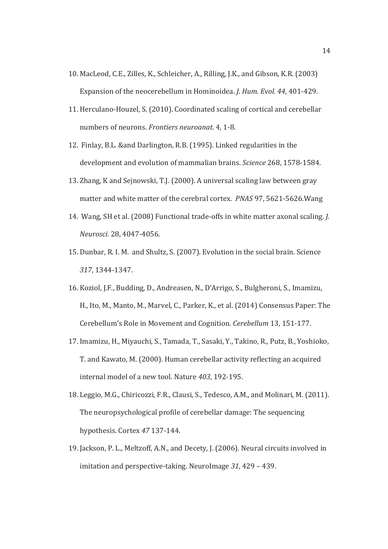- 10. MacLeod, C.E., Zilles, K., Schleicher, A., Rilling, J.K., and Gibson, K.R. (2003) Expansion of the neocerebellum in Hominoidea. *J. Hum. Evol. 44, 401-429.*
- 11. Herculano-Houzel, S. (2010). Coordinated scaling of cortical and cerebellar numbers of neurons. Frontiers neuroanat. 4, 1-8.
- 12. Finlay, B.L. & and Darlington, R.B. (1995). Linked regularities in the development and evolution of mammalian brains. Science 268, 1578-1584.
- 13. Zhang, K and Sejnowski, T.J. (2000). A universal scaling law between gray matter and white matter of the cerebral cortex. PNAS 97, 5621-5626. Wang
- 14. Wang, SH et al. (2008) Functional trade-offs in white matter axonal scaling. *J.*  $Neurosci. 28, 4047-4056.$
- 15. Dunbar, R. I. M. and Shultz, S. (2007). Evolution in the social brain. Science 317, 1344-1347.
- 16. Koziol, J.F., Budding, D., Andreasen, N., D'Arrigo, S., Bulgheroni, S., Imamizu, H., Ito, M., Manto, M., Marvel, C., Parker, K., et al. (2014) Consensus Paper: The Cerebellum's Role in Movement and Cognition. Cerebellum 13, 151-177.
- 17. Imamizu, H., Miyauchi, S., Tamada, T., Sasaki, Y., Takino, R., Putz, B., Yoshioko, T. and Kawato, M. (2000). Human cerebellar activity reflecting an acquired internal model of a new tool. Nature 403, 192-195.
- 18. Leggio, M.G., Chiricozzi, F.R., Clausi, S., Tedesco, A.M., and Molinari, M. (2011). The neuropsychological profile of cerebellar damage: The sequencing hypothesis. Cortex 47 137-144.
- 19. Jackson, P. L., Meltzoff, A.N., and Decety, J. (2006). Neural circuits involved in imitation and perspective-taking. NeuroImage 31, 429 - 439.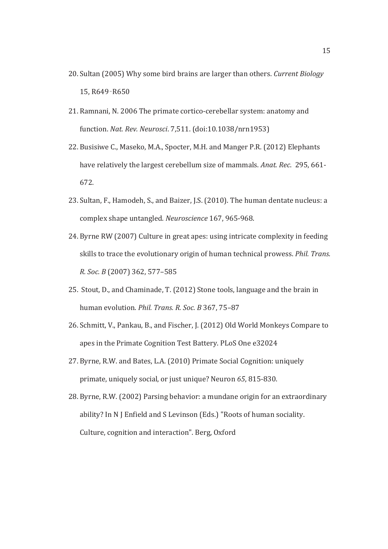- 20. Sultan (2005) Why some bird brains are larger than others. Current Biology 15, R649-R650
- 21. Ramnani, N. 2006 The primate cortico-cerebellar system: anatomy and function. Nat. Rev. Neurosci. 7,511. (doi:10.1038/nrn1953)
- 22. Busisiwe C., Maseko, M.A., Spocter, M.H. and Manger P.R. (2012) Elephants have relatively the largest cerebellum size of mammals. Anat. Rec. 295, 661-672.
- 23. Sultan, F., Hamodeh, S., and Baizer, J.S. (2010). The human dentate nucleus: a complex shape untangled. Neuroscience 167, 965-968.
- 24. Byrne RW (2007) Culture in great apes: using intricate complexity in feeding skills to trace the evolutionary origin of human technical prowess. *Phil. Trans. R. Soc. B* (2007) 362, 577-585
- 25. Stout, D., and Chaminade, T. (2012) Stone tools, language and the brain in human evolution. *Phil. Trans. R. Soc. B* 367, 75-87
- 26. Schmitt, V., Pankau, B., and Fischer, J. (2012) Old World Monkeys Compare to apes in the Primate Cognition Test Battery. PLoS One e32024
- 27. Byrne, R.W. and Bates, L.A. (2010) Primate Social Cognition: uniquely primate, uniquely social, or just unique? Neuron 65, 815-830.
- 28. Byrne, R.W. (2002) Parsing behavior: a mundane origin for an extraordinary ability? In N J Enfield and S Levinson (Eds.) "Roots of human sociality. Culture, cognition and interaction". Berg, Oxford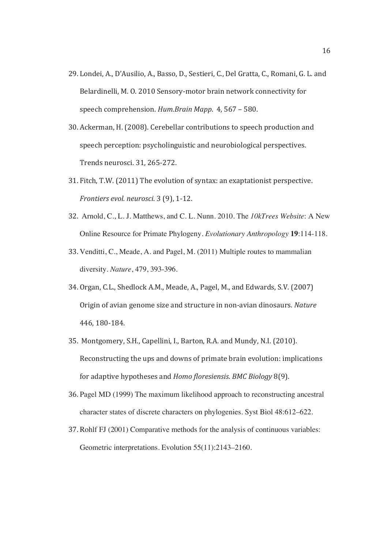- 29. Londei, A., D'Ausilio, A., Basso, D., Sestieri, C., Del Gratta, C., Romani, G. L. and Belardinelli, M. O. 2010 Sensory-motor brain network connectivity for speech comprehension. Hum.Brain Mapp. 4, 567 - 580.
- 30. Ackerman, H. (2008). Cerebellar contributions to speech production and speech perception: psycholinguistic and neurobiological perspectives. Trends neurosci. 31, 265-272.
- 31. Fitch, T.W. (2011) The evolution of syntax: an exaptationist perspective. *Frontiers evol. neurosci.* 3 (9), 1-12.
- LK9 Arnold, C., L. J. Matthews, and C. L. Nunn. 2010. The *10kTrees Website*: A New Online Resource for Primate Phylogeny. *Evolutionary Anthropology* **19**:114-118.
- 33. Venditti, C., Meade, A. and Pagel, M. (2011) Multiple routes to mammalian diversity. *Nature*, 479, 393-396.
- 34. Organ, C.L., Shedlock A.M., Meade, A., Pagel, M., and Edwards, S.V. (2007) Origin of avian genome size and structure in non-avian dinosaurs. Nature 446, 180-184.
- 35. Montgomery, S.H., Capellini, I., Barton, R.A. and Mundy, N.I. (2010). Reconstructing the ups and downs of primate brain evolution: implications for adaptive hypotheses and *Homo floresiensis. BMC Biology* 8(9).
- 36. Pagel MD (1999) The maximum likelihood approach to reconstructing ancestral character states of discrete characters on phylogenies. Syst Biol 48:612–622.
- 37. Rohlf FJ (2001) Comparative methods for the analysis of continuous variables: Geometric interpretations. Evolution 55(11):2143–2160.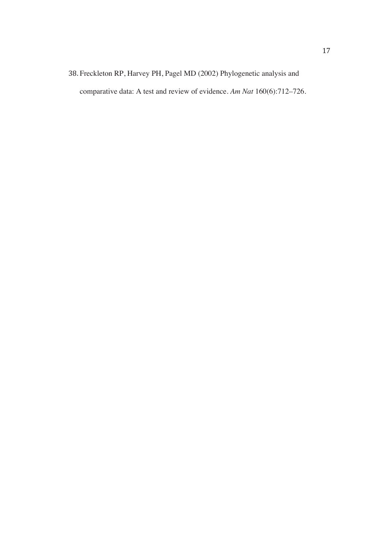# 38. Freckleton RP, Harvey PH, Pagel MD (2002) Phylogenetic analysis and comparative data: A test and review of evidence. *Am Nat* 160(6):712–726.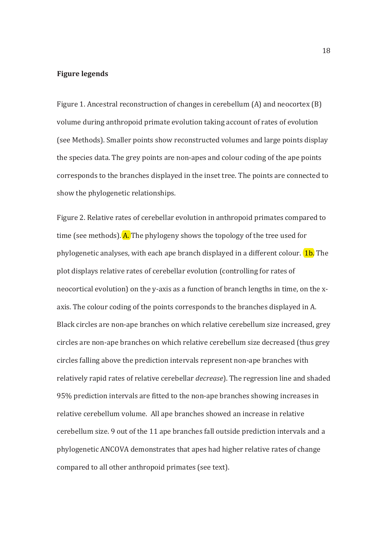#### **Figure legends**

Figure 1. Ancestral reconstruction of changes in cerebellum (A) and neocortex (B) volume during anthropoid primate evolution taking account of rates of evolution (see Methods). Smaller points show reconstructed volumes and large points display the species data. The grey points are non-apes and colour coding of the ape points corresponds to the branches displayed in the inset tree. The points are connected to show the phylogenetic relationships.

Figure 2. Relative rates of cerebellar evolution in anthropoid primates compared to time (see methods).  $\overline{A}$ . The phylogeny shows the topology of the tree used for phylogenetic analyses, with each ape branch displayed in a different colour. **1b.** The plot displays relative rates of cerebellar evolution (controlling for rates of neocortical evolution) on the y-axis as a function of branch lengths in time, on the xaxis. The colour coding of the points corresponds to the branches displayed in A. Black circles are non-ape branches on which relative cerebellum size increased, grey circles are non-ape branches on which relative cerebellum size decreased (thus grey circles falling above the prediction intervals represent non-ape branches with relatively rapid rates of relative cerebellar *decrease*). The regression line and shaded 95% prediction intervals are fitted to the non-ape branches showing increases in relative cerebellum volume. All ape branches showed an increase in relative cerebellum size. 9 out of the 11 ape branches fall outside prediction intervals and a phylogenetic ANCOVA demonstrates that apes had higher relative rates of change compared to all other anthropoid primates (see text).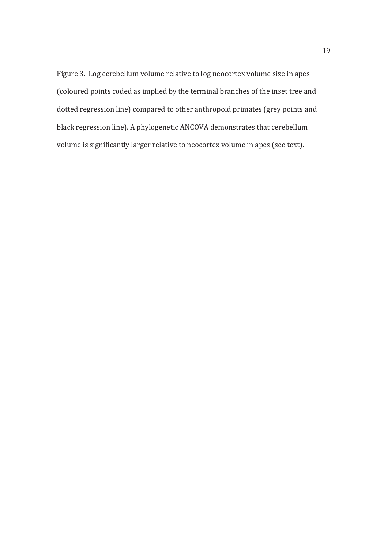Figure 3. Log cerebellum volume relative to log neocortex volume size in apes (coloured points coded as implied by the terminal branches of the inset tree and dotted regression line) compared to other anthropoid primates (grey points and black regression line). A phylogenetic ANCOVA demonstrates that cerebellum volume is significantly larger relative to neocortex volume in apes (see text).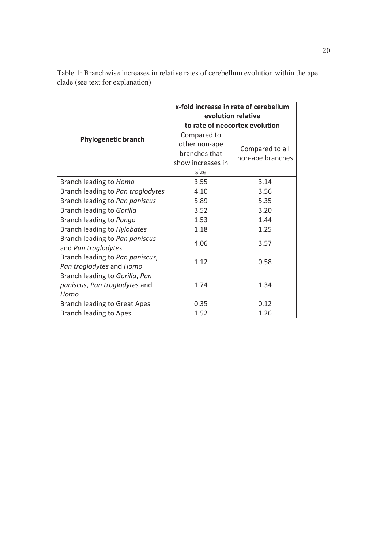|                                                             | x-fold increase in rate of cerebellum<br>evolution relative |                  |
|-------------------------------------------------------------|-------------------------------------------------------------|------------------|
| <b>Phylogenetic branch</b>                                  | to rate of neocortex evolution                              |                  |
|                                                             | Compared to                                                 |                  |
|                                                             | other non-ape                                               | Compared to all  |
|                                                             | branches that                                               | non-ape branches |
|                                                             | show increases in                                           |                  |
|                                                             | size                                                        |                  |
| Branch leading to Homo                                      | 3.55                                                        | 3.14             |
| Branch leading to Pan troglodytes                           | 4.10                                                        | 3.56             |
| Branch leading to Pan paniscus                              | 5.89                                                        | 5.35             |
| Branch leading to Gorilla                                   | 3.52                                                        | 3.20             |
| Branch leading to Pongo                                     | 1.53                                                        | 1.44             |
| Branch leading to Hylobates                                 | 1.18                                                        | 1.25             |
| Branch leading to Pan paniscus<br>and Pan troglodytes       | 4.06                                                        | 3.57             |
| Branch leading to Pan paniscus,<br>Pan troglodytes and Homo | 1.12                                                        | 0.58             |
| Branch leading to Gorilla, Pan                              |                                                             |                  |
| paniscus, Pan troglodytes and                               | 1.74                                                        | 1.34             |
| Homo                                                        |                                                             |                  |
| <b>Branch leading to Great Apes</b>                         | 0.35                                                        | 0.12             |
| <b>Branch leading to Apes</b>                               | 1.52                                                        | 1.26             |

Table 1: Branchwise increases in relative rates of cerebellum evolution within the ape clade (see text for explanation)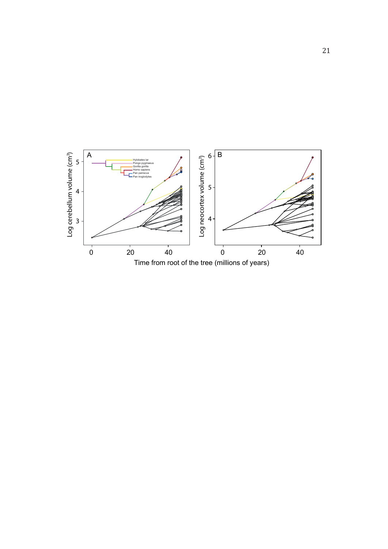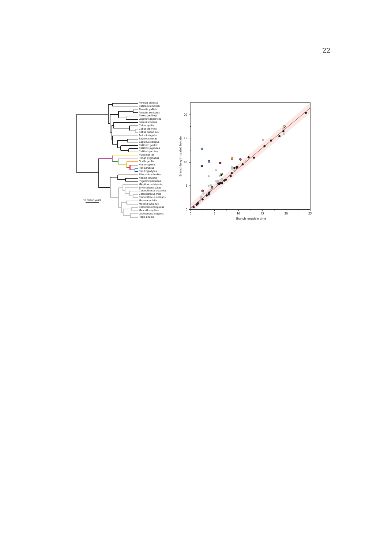